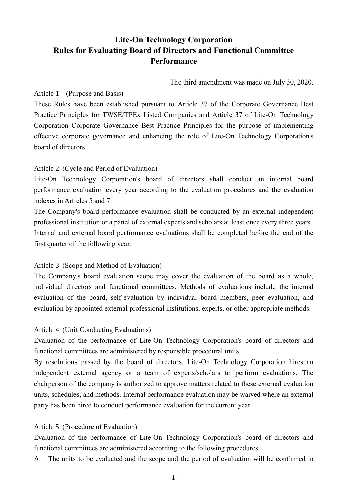# **Lite-On Technology Corporation Rules for Evaluating Board of Directors and Functional Committee Performance**

The third amendment was made on July 30, 2020.

### Article 1 (Purpose and Basis)

These Rules have been established pursuant to Article 37 of the Corporate Governance Best Practice Principles for TWSE/TPEx Listed Companies and Article 37 of Lite-On Technology Corporation Corporate Governance Best Practice Principles for the purpose of implementing effective corporate governance and enhancing the role of Lite-On Technology Corporation's board of directors.

#### Article 2 (Cycle and Period of Evaluation)

Lite-On Technology Corporation's board of directors shall conduct an internal board performance evaluation every year according to the evaluation procedures and the evaluation indexes in Articles 5 and 7.

The Company's board performance evaluation shall be conducted by an external independent professional institution or a panel of external experts and scholars at least once every three years. Internal and external board performance evaluations shall be completed before the end of the first quarter of the following year.

## Article 3 (Scope and Method of Evaluation)

The Company's board evaluation scope may cover the evaluation of the board as a whole, individual directors and functional committees. Methods of evaluations include the internal evaluation of the board, self-evaluation by individual board members, peer evaluation, and evaluation by appointed external professional institutions, experts, or other appropriate methods.

#### Article 4 (Unit Conducting Evaluations)

Evaluation of the performance of Lite-On Technology Corporation's board of directors and functional committees are administered by responsible procedural units.

By resolutions passed by the board of directors, Lite-On Technology Corporation hires an independent external agency or a team of experts/scholars to perform evaluations. The chairperson of the company is authorized to approve matters related to these external evaluation units, schedules, and methods. Internal performance evaluation may be waived where an external party has been hired to conduct performance evaluation for the current year.

#### Article 5 (Procedure of Evaluation)

Evaluation of the performance of Lite-On Technology Corporation's board of directors and functional committees are administered according to the following procedures.

A. The units to be evaluated and the scope and the period of evaluation will be confirmed in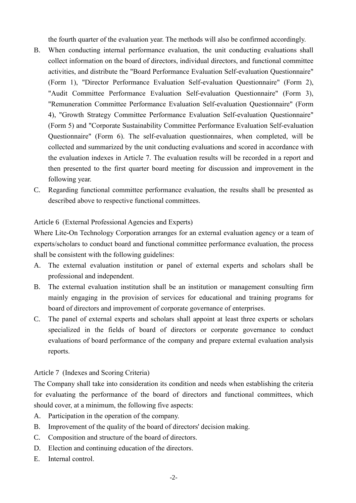the fourth quarter of the evaluation year. The methods will also be confirmed accordingly.

- B. When conducting internal performance evaluation, the unit conducting evaluations shall collect information on the board of directors, individual directors, and functional committee activities, and distribute the "Board Performance Evaluation Self-evaluation Questionnaire" (Form 1), "Director Performance Evaluation Self-evaluation Questionnaire" (Form 2), "Audit Committee Performance Evaluation Self-evaluation Questionnaire" (Form 3), "Remuneration Committee Performance Evaluation Self-evaluation Questionnaire" (Form 4), "Growth Strategy Committee Performance Evaluation Self-evaluation Questionnaire" (Form 5) and "Corporate Sustainability Committee Performance Evaluation Self-evaluation Questionnaire" (Form 6). The self-evaluation questionnaires, when completed, will be collected and summarized by the unit conducting evaluations and scored in accordance with the evaluation indexes in Article 7. The evaluation results will be recorded in a report and then presented to the first quarter board meeting for discussion and improvement in the following year.
- C. Regarding functional committee performance evaluation, the results shall be presented as described above to respective functional committees.

#### Article 6 (External Professional Agencies and Experts)

Where Lite-On Technology Corporation arranges for an external evaluation agency or a team of experts/scholars to conduct board and functional committee performance evaluation, the process shall be consistent with the following guidelines:

- A. The external evaluation institution or panel of external experts and scholars shall be professional and independent.
- B. The external evaluation institution shall be an institution or management consulting firm mainly engaging in the provision of services for educational and training programs for board of directors and improvement of corporate governance of enterprises.
- C. The panel of external experts and scholars shall appoint at least three experts or scholars specialized in the fields of board of directors or corporate governance to conduct evaluations of board performance of the company and prepare external evaluation analysis reports.

#### Article 7 (Indexes and Scoring Criteria)

The Company shall take into consideration its condition and needs when establishing the criteria for evaluating the performance of the board of directors and functional committees, which should cover, at a minimum, the following five aspects:

- A. Participation in the operation of the company.
- B. Improvement of the quality of the board of directors' decision making.
- C. Composition and structure of the board of directors.
- D. Election and continuing education of the directors.
- E. Internal control.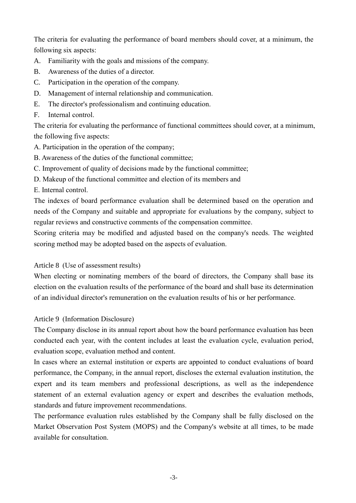The criteria for evaluating the performance of board members should cover, at a minimum, the following six aspects:

- A. Familiarity with the goals and missions of the company.
- B. Awareness of the duties of a director.
- C. Participation in the operation of the company.
- D. Management of internal relationship and communication.
- E. The director's professionalism and continuing education.
- F. Internal control.

The criteria for evaluating the performance of functional committees should cover, at a minimum, the following five aspects:

- A. Participation in the operation of the company;
- B. Awareness of the duties of the functional committee;
- C. Improvement of quality of decisions made by the functional committee;
- D. Makeup of the functional committee and election of its members and
- E. Internal control.

The indexes of board performance evaluation shall be determined based on the operation and needs of the Company and suitable and appropriate for evaluations by the company, subject to regular reviews and constructive comments of the compensation committee.

Scoring criteria may be modified and adjusted based on the company's needs. The weighted scoring method may be adopted based on the aspects of evaluation.

## Article 8 (Use of assessment results)

When electing or nominating members of the board of directors, the Company shall base its election on the evaluation results of the performance of the board and shall base its determination of an individual director's remuneration on the evaluation results of his or her performance.

## Article 9 (Information Disclosure)

The Company disclose in its annual report about how the board performance evaluation has been conducted each year, with the content includes at least the evaluation cycle, evaluation period, evaluation scope, evaluation method and content.

In cases where an external institution or experts are appointed to conduct evaluations of board performance, the Company, in the annual report, discloses the external evaluation institution, the expert and its team members and professional descriptions, as well as the independence statement of an external evaluation agency or expert and describes the evaluation methods, standards and future improvement recommendations.

The performance evaluation rules established by the Company shall be fully disclosed on the Market Observation Post System (MOPS) and the Company's website at all times, to be made available for consultation.